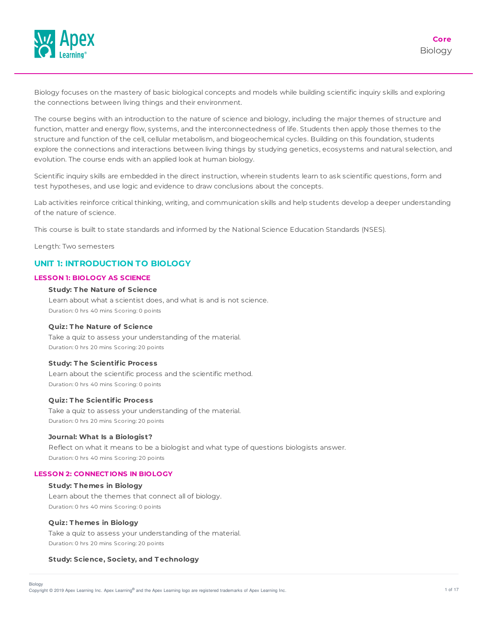

Biology focuses on the mastery of basic biological concepts and models while building scientific inquiry skills and exploring the connections between living things and their environment.

The course begins with an introduction to the nature of science and biology, including the major themes of structure and function, matter and energy flow, systems, and the interconnectedness of life. Students then apply those themes to the structure and function of the cell, cellular metabolism, and biogeochemical cycles. Building on this foundation, students explore the connections and interactions between living things by studying genetics, ecosystems and natural selection, and evolution. The course ends with an applied look at human biology.

Scientific inquiry skills are embedded in the direct instruction, wherein students learn to ask scientific questions, form and test hypotheses, and use logic and evidence to draw conclusions about the concepts.

Lab activities reinforce critical thinking, writing, and communication skills and help students develop a deeper understanding of the nature of science.

This course is built to state standards and informed by the National Science Education Standards (NSES).

Length: Two semesters

# **UNIT 1: INTRODUCTION TO BIOLOGY**

### **LESSON 1: BIOLOGY AS SCIENCE**

### **Study: T he Nature of Science**

Learn about what a scientist does, and what is and is not science. Duration: 0 hrs 40 mins Scoring: 0 points

#### **Quiz: T he Nature of Science**

Take a quiz to assess your understanding of the material. Duration: 0 hrs 20 mins Scoring: 20 points

#### **Study: T he Scientific Process**

Learn about the scientific process and the scientific method. Duration: 0 hrs 40 mins Scoring: 0 points

### **Quiz: T he Scientific Process**

Take a quiz to assess your understanding of the material. Duration: 0 hrs 20 mins Scoring: 20 points

#### **Journal: What Is a Biologist?**

Reflect on what it means to be a biologist and what type of questions biologists answer. Duration: 0 hrs 40 mins Scoring: 20 points

### **LESSON 2: CONNECT IONS IN BIOLOGY**

### **Study: T hemes in Biology**

Learn about the themes that connect all of biology. Duration: 0 hrs 40 mins Scoring: 0 points

#### **Quiz: T hemes in Biology**

Take a quiz to assess your understanding of the material. Duration: 0 hrs 20 mins Scoring: 20 points

### **Study: Science, Society, and T echnology**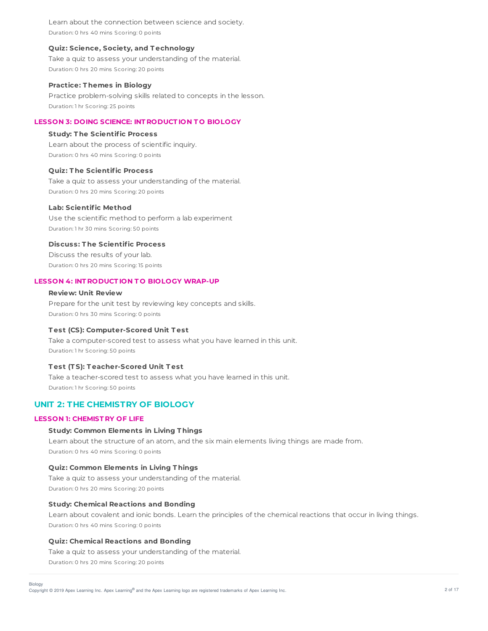Learn about the connection between science and society. Duration: 0 hrs 40 mins Scoring: 0 points

### **Quiz: Science, Society, and T echnology**

Take a quiz to assess your understanding of the material. Duration: 0 hrs 20 mins Scoring: 20 points

#### **Practice: T hemes in Biology**

Practice problem-solving skills related to concepts in the lesson. Duration: 1 hr Scoring: 25 points

### **LESSON 3: DOING SCIENCE: INT RODUCT ION T O BIOLOGY**

### **Study: T he Scientific Process**

Learn about the process of scientific inquiry. Duration: 0 hrs 40 mins Scoring: 0 points

### **Quiz: T he Scientific Process**

Take a quiz to assess your understanding of the material. Duration: 0 hrs 20 mins Scoring: 20 points

### **Lab: Scientific Method**

Use the scientific method to perform a lab experiment Duration: 1 hr 30 mins Scoring: 50 points

**Discuss: T he Scientific Process**

Discuss the results of your lab. Duration: 0 hrs 20 mins Scoring: 15 points

### **LESSON 4: INT RODUCT ION T O BIOLOGY WRAP-UP**

## **Review: Unit Review**

Prepare for the unit test by reviewing key concepts and skills. Duration: 0 hrs 30 mins Scoring: 0 points

### **T est (CS): Computer-Scored Unit T est**

Take a computer-scored test to assess what you have learned in this unit. Duration: 1 hr Scoring: 50 points

### **T est (T S): T eacher-Scored Unit T est**

Take a teacher-scored test to assess what you have learned in this unit. Duration: 1 hr Scoring: 50 points

# **UNIT 2: THE CHEMISTRY OF BIOLOGY**

### **LESSON 1: CHEMIST RY OF LIFE**

## **Study: Common Elements in Living T hings**

Learn about the structure of an atom, and the six main elements living things are made from. Duration: 0 hrs 40 mins Scoring: 0 points

### **Quiz: Common Elements in Living T hings**

Take a quiz to assess your understanding of the material. Duration: 0 hrs 20 mins Scoring: 20 points

### **Study: Chemical Reactions and Bonding**

Learn about covalent and ionic bonds. Learn the principles of the chemical reactions that occur in living things. Duration: 0 hrs 40 mins Scoring: 0 points

### **Quiz: Chemical Reactions and Bonding**

Take a quiz to assess your understanding of the material.

Duration: 0 hrs 20 mins Scoring: 20 points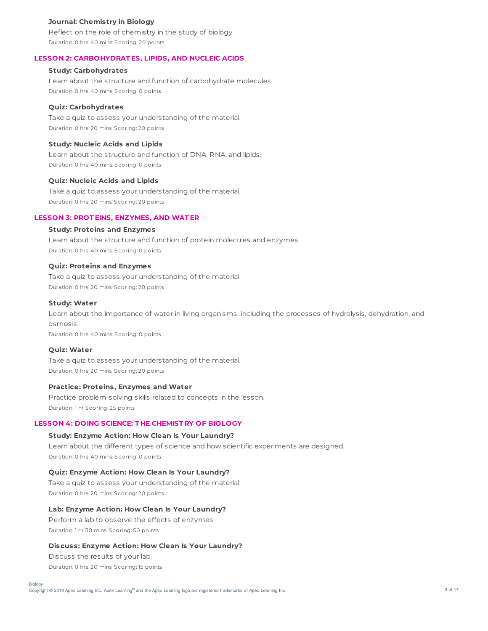### **Journal: Chemistry in Biology**

Reflect on the role of chemistry in the study of biology Duration: 0 hrs 40 mins Scoring: 20 points

## **LESSON 2: CARBOHYDRAT ES, LIPIDS, AND NUCLEIC ACIDS**

## **Study: Carbohydrates**

Learn about the structure and function of carbohydrate molecules. Duration: 0 hrs 40 mins Scoring: 0 points

## **Quiz: Carbohydrates**

Take a quiz to assess your understanding of the material. Duration: 0 hrs 20 mins Scoring: 20 points

## **Study: Nucleic Acids and Lipids**

Learn about the structure and function of DNA, RNA, and lipids. Duration: 0 hrs 40 mins Scoring: 0 points

## **Quiz: Nucleic Acids and Lipids**

Take a quiz to assess your understanding of the material. Duration: 0 hrs 20 mins Scoring: 20 points

## **LESSON 3: PROT EINS, ENZYMES, AND WAT ER**

## **Study: Proteins and Enzymes**

Learn about the structure and function of protein molecules and enzymes Duration: 0 hrs 40 mins Scoring: 0 points

## **Quiz: Proteins and Enzymes**

Take a quiz to assess your understanding of the material. Duration: 0 hrs 20 mins Scoring: 20 points

### **Study: Water**

Learn about the importance of water in living organisms, including the processes of hydrolysis, dehydration, and osmosis.

Duration: 0 hrs 40 mins Scoring: 0 points

## **Quiz: Water**

Take a quiz to assess your understanding of the material. Duration: 0 hrs 20 mins Scoring: 20 points

### **Practice: Proteins, Enzymes and Water**

Practice problem-solving skills related to concepts in the lesson. Duration: 1 hr Scoring: 25 points

### **LESSON 4: DOING SCIENCE: T HE CHEMIST RY OF BIOLOGY**

## **Study: Enzyme Action: How Clean Is Your Laundry?**

Learn about the different types of science and how scientific experiments are designed. Duration: 0 hrs 40 mins Scoring: 0 points

**Quiz: Enzyme Action: How Clean Is Your Laundry?** Take a quiz to assess your understanding of the material. Duration: 0 hrs 20 mins Scoring: 20 points

## **Lab: Enzyme Action: How Clean Is Your Laundry?**

Perform a lab to observe the effects of enzymes Duration: 1 hr 30 mins Scoring: 50 points

### **Discuss: Enzyme Action: How Clean Is Your Laundry?**

Discuss the results of your lab.

Duration: 0 hrs 20 mins Scoring: 15 points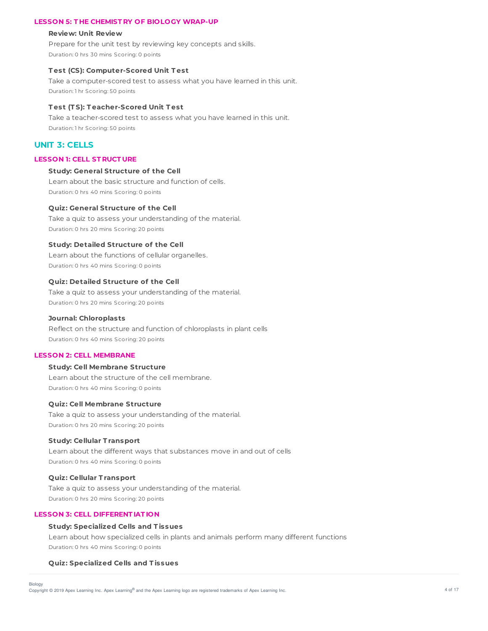### **LESSON 5: T HE CHEMIST RY OF BIOLOGY WRAP-UP**

#### **Review: Unit Review**

Prepare for the unit test by reviewing key concepts and skills. Duration: 0 hrs 30 mins Scoring: 0 points

### **T est (CS): Computer-Scored Unit T est**

Take a computer-scored test to assess what you have learned in this unit. Duration: 1 hr Scoring: 50 points

### **T est (T S): T eacher-Scored Unit T est**

Take a teacher-scored test to assess what you have learned in this unit. Duration: 1 hr Scoring: 50 points

# **UNIT 3: CELLS**

## **LESSON 1: CELL ST RUCT URE**

## **Study: General Structure of the Cell**

Learn about the basic structure and function of cells. Duration: 0 hrs 40 mins Scoring: 0 points

#### **Quiz: General Structure of the Cell**

Take a quiz to assess your understanding of the material. Duration: 0 hrs 20 mins Scoring: 20 points

### **Study: Detailed Structure of the Cell**

Learn about the functions of cellular organelles. Duration: 0 hrs 40 mins Scoring: 0 points

#### **Quiz: Detailed Structure of the Cell**

Take a quiz to assess your understanding of the material. Duration: 0 hrs 20 mins Scoring: 20 points

### **Journal: Chloroplasts**

Reflect on the structure and function of chloroplasts in plant cells Duration: 0 hrs 40 mins Scoring: 20 points

### **LESSON 2: CELL MEMBRANE**

### **Study: Cell Membrane Structure**

Learn about the structure of the cell membrane. Duration: 0 hrs 40 mins Scoring: 0 points

### **Quiz: Cell Membrane Structure**

Take a quiz to assess your understanding of the material. Duration: 0 hrs 20 mins Scoring: 20 points

#### **Study: Cellular T ransport**

Learn about the different ways that substances move in and out of cells Duration: 0 hrs 40 mins Scoring: 0 points

### **Quiz: Cellular T ransport**

Take a quiz to assess your understanding of the material. Duration: 0 hrs 20 mins Scoring: 20 points

## **LESSON 3: CELL DIFFERENT IAT ION**

### **Study: Specialized Cells and T issues**

Learn about how specialized cells in plants and animals perform many different functions Duration: 0 hrs 40 mins Scoring: 0 points

#### **Quiz: Specialized Cells and T issues**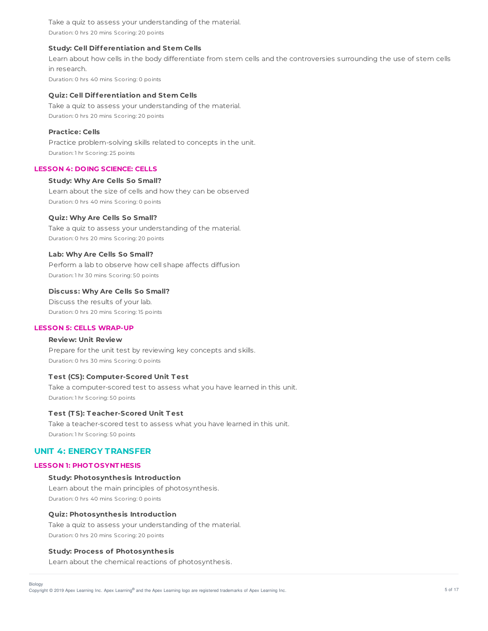Take a quiz to assess your understanding of the material. Duration: 0 hrs 20 mins Scoring: 20 points

### **Study: Cell Differentiation and Stem Cells**

Learn about how cells in the body differentiate from stem cells and the controversies surrounding the use of stem cells in research.

Duration: 0 hrs 40 mins Scoring: 0 points

### **Quiz: Cell Differentiation and Stem Cells**

Take a quiz to assess your understanding of the material. Duration: 0 hrs 20 mins Scoring: 20 points

## **Practice: Cells**

Practice problem-solving skills related to concepts in the unit. Duration: 1 hr Scoring: 25 points

### **LESSON 4: DOING SCIENCE: CELLS**

### **Study: Why Are Cells So Small?**

Learn about the size of cells and how they can be observed Duration: 0 hrs 40 mins Scoring: 0 points

### **Quiz: Why Are Cells So Small?**

Take a quiz to assess your understanding of the material. Duration: 0 hrs 20 mins Scoring: 20 points

### **Lab: Why Are Cells So Small?**

Perform a lab to observe how cell shape affects diffusion Duration: 1 hr 30 mins Scoring: 50 points

### **Discuss: Why Are Cells So Small?**

Discuss the results of your lab. Duration: 0 hrs 20 mins Scoring: 15 points

## **LESSON 5: CELLS WRAP-UP**

## **Review: Unit Review**

Prepare for the unit test by reviewing key concepts and skills. Duration: 0 hrs 30 mins Scoring: 0 points

## **T est (CS): Computer-Scored Unit T est**

Take a computer-scored test to assess what you have learned in this unit. Duration: 1 hr Scoring: 50 points

### **T est (T S): T eacher-Scored Unit T est**

Take a teacher-scored test to assess what you have learned in this unit. Duration: 1 hr Scoring: 50 points

## **UNIT 4: ENERGY TRANSFER**

### **LESSON 1: PHOT OSYNT HESIS**

### **Study: Photosynthesis Introduction**

Learn about the main principles of photosynthesis. Duration: 0 hrs 40 mins Scoring: 0 points

#### **Quiz: Photosynthesis Introduction**

Take a quiz to assess your understanding of the material. Duration: 0 hrs 20 mins Scoring: 20 points

### **Study: Process of Photosynthesis**

Learn about the chemical reactions of photosynthesis.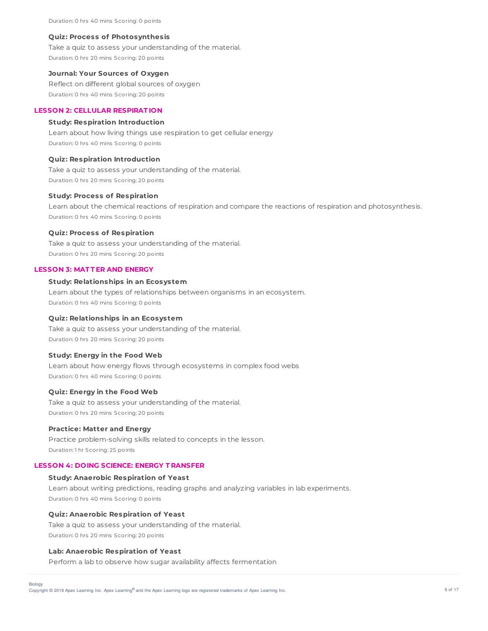Duration: 0 hrs 40 mins Scoring: 0 points

#### **Quiz: Process of Photosynthesis**

Take a quiz to assess your understanding of the material. Duration: 0 hrs 20 mins Scoring: 20 points

### **Journal: Your Sources of Oxygen**

Reflect on different global sources of oxygen Duration: 0 hrs 40 mins Scoring: 20 points

## **LESSON 2: CELLULAR RESPIRAT ION**

### **Study: Respiration Introduction**

Learn about how living things use respiration to get cellular energy Duration: 0 hrs 40 mins Scoring: 0 points

#### **Quiz: Respiration Introduction**

Take a quiz to assess your understanding of the material. Duration: 0 hrs 20 mins Scoring: 20 points

### **Study: Process of Respiration**

Learn about the chemical reactions of respiration and compare the reactions of respiration and photosynthesis. Duration: 0 hrs 40 mins Scoring: 0 points

### **Quiz: Process of Respiration**

Take a quiz to assess your understanding of the material. Duration: 0 hrs 20 mins Scoring: 20 points

#### **LESSON 3: MAT T ER AND ENERGY**

## **Study: Relationships in an Ecosystem**

Learn about the types of relationships between organisms in an ecosystem. Duration: 0 hrs 40 mins Scoring: 0 points

## **Quiz: Relationships in an Ecosystem**

Take a quiz to assess your understanding of the material. Duration: 0 hrs 20 mins Scoring: 20 points

### **Study: Energy in the Food Web**

Learn about how energy flows through ecosystems in complex food webs Duration: 0 hrs 40 mins Scoring: 0 points

### **Quiz: Energy in the Food Web**

Take a quiz to assess your understanding of the material. Duration: 0 hrs 20 mins Scoring: 20 points

### **Practice: Matter and Energy**

Practice problem-solving skills related to concepts in the lesson. Duration: 1 hr Scoring: 25 points

## **LESSON 4: DOING SCIENCE: ENERGY T RANSFER**

### **Study: Anaerobic Respiration of Yeast**

Learn about writing predictions, reading graphs and analyzing variables in lab experiments. Duration: 0 hrs 40 mins Scoring: 0 points

### **Quiz: Anaerobic Respiration of Yeast**

Take a quiz to assess your understanding of the material. Duration: 0 hrs 20 mins Scoring: 20 points

#### **Lab: Anaerobic Respiration of Yeast**

Biology

Perform a lab to observe how sugar availability affects fermentation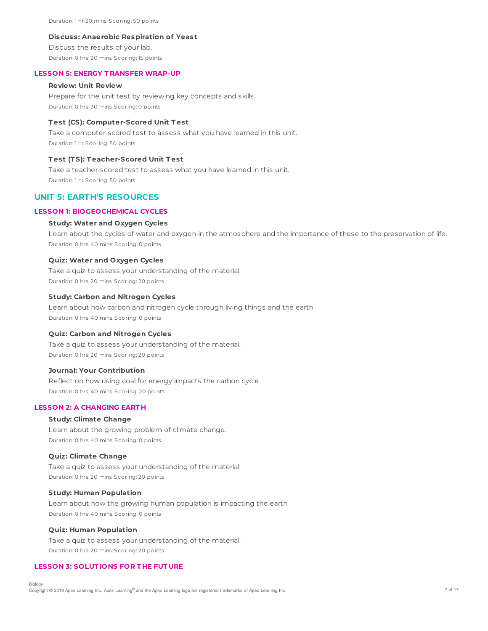Duration: 1 hr 30 mins Scoring: 50 points

#### **Discuss: Anaerobic Respiration of Yeast**

Discuss the results of your lab. Duration: 0 hrs 20 mins Scoring: 15 points

#### **LESSON 5: ENERGY T RANSFER WRAP-UP**

### **Review: Unit Review**

Prepare for the unit test by reviewing key concepts and skills. Duration: 0 hrs 30 mins Scoring: 0 points

### **T est (CS): Computer-Scored Unit T est**

Take a computer-scored test to assess what you have learned in this unit. Duration: 1 hr Scoring: 50 points

#### **T est (T S): T eacher-Scored Unit T est**

Take a teacher-scored test to assess what you have learned in this unit. Duration: 1 hr Scoring: 50 points

# **UNIT 5: EARTH'S RESOURCES**

## **LESSON 1: BIOGEOCHEMICAL CYCLES**

### **Study: Water and Oxygen Cycles**

Learn about the cycles of water and oxygen in the atmosphere and the importance of these to the preservation of life. Duration: 0 hrs 40 mins Scoring: 0 points

### **Quiz: Water and Oxygen Cycles**

Take a quiz to assess your understanding of the material. Duration: 0 hrs 20 mins Scoring: 20 points

### **Study: Carbon and Nitrogen Cycles**

Learn about how carbon and nitrogen cycle through living things and the earth Duration: 0 hrs 40 mins Scoring: 0 points

#### **Quiz: Carbon and Nitrogen Cycles**

Take a quiz to assess your understanding of the material. Duration: 0 hrs 20 mins Scoring: 20 points

### **Journal: Your Contribution**

Reflect on how using coal for energy impacts the carbon cycle Duration: 0 hrs 40 mins Scoring: 20 points

## **LESSON 2: A CHANGING EART H**

## **Study: Climate Change**

Learn about the growing problem of climate change. Duration: 0 hrs 40 mins Scoring: 0 points

### **Quiz: Climate Change**

Take a quiz to assess your understanding of the material. Duration: 0 hrs 20 mins Scoring: 20 points

### **Study: Human Population**

Learn about how the growing human population is impacting the earth Duration: 0 hrs 40 mins Scoring: 0 points

### **Quiz: Human Population**

Take a quiz to assess your understanding of the material. Duration: 0 hrs 20 mins Scoring: 20 points

### **LESSON 3: SOLUT IONS FOR T HE FUT URE**

Biology

Copyright © 2019 Apex Learning Inc. Apex Learning® and the Apex Learning logo are registered trademarks of Apex Learning Inc. <br>Copyright © 2019 Apex Learning Inc. Apex Learning® and the Apex Learning logo are registered tr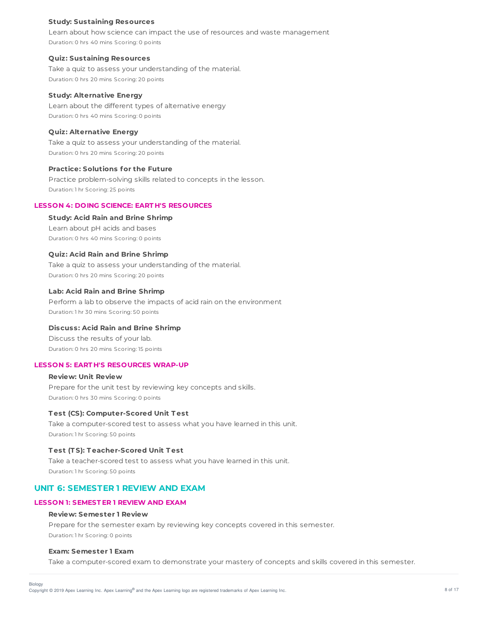### **Study: Sustaining Resources**

Learn about how science can impact the use of resources and waste management Duration: 0 hrs 40 mins Scoring: 0 points

#### **Quiz: Sustaining Resources**

Take a quiz to assess your understanding of the material. Duration: 0 hrs 20 mins Scoring: 20 points

#### **Study: Alternative Energy**

Learn about the different types of alternative energy Duration: 0 hrs 40 mins Scoring: 0 points

## **Quiz: Alternative Energy**

Take a quiz to assess your understanding of the material. Duration: 0 hrs 20 mins Scoring: 20 points

### **Practice: Solutions for the Future**

Practice problem-solving skills related to concepts in the lesson. Duration: 1 hr Scoring: 25 points

### **LESSON 4: DOING SCIENCE: EART H'S RESOURCES**

### **Study: Acid Rain and Brine Shrimp**

Learn about pH acids and bases Duration: 0 hrs 40 mins Scoring: 0 points

### **Quiz: Acid Rain and Brine Shrimp**

Take a quiz to assess your understanding of the material. Duration: 0 hrs 20 mins Scoring: 20 points

### **Lab: Acid Rain and Brine Shrimp**

Perform a lab to observe the impacts of acid rain on the environment Duration: 1 hr 30 mins Scoring: 50 points

### **Discuss: Acid Rain and Brine Shrimp**

Discuss the results of your lab. Duration: 0 hrs 20 mins Scoring: 15 points

### **LESSON 5: EART H'S RESOURCES WRAP-UP**

# **Review: Unit Review** Prepare for the unit test by reviewing key concepts and skills. Duration: 0 hrs 30 mins Scoring: 0 points

#### **T est (CS): Computer-Scored Unit T est**

Take a computer-scored test to assess what you have learned in this unit. Duration: 1 hr Scoring: 50 points

### **T est (T S): T eacher-Scored Unit T est**

Take a teacher-scored test to assess what you have learned in this unit. Duration: 1 hr Scoring: 50 points

## **UNIT 6: SEMESTER 1 REVIEW AND EXAM**

### **LESSON 1: SEMEST ER 1 REVIEW AND EXAM**

#### **Review: Semester 1 Review**

Prepare for the semester exam by reviewing key concepts covered in this semester. Duration: 1 hr Scoring: 0 points

### **Exam: Semester 1 Exam**

Take a computer-scored exam to demonstrate your mastery of concepts and skills covered in this semester.

Copyright © 2019 Apex Learning Inc. Apex Learning® and the Apex Learning logo are registered trademarks of Apex Learning Inc. **According the Apex Learning Ince** 8 of 17 Biology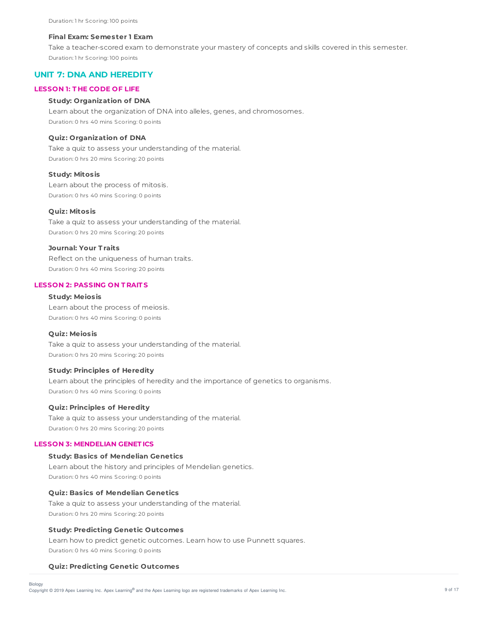### **Final Exam: Semester 1 Exam**

Take a teacher-scored exam to demonstrate your mastery of concepts and skills covered in this semester. Duration: 1 hr Scoring: 100 points

## **UNIT 7: DNA AND HEREDITY**

### **LESSON 1: T HE CODE OF LIFE**

## **Study: Organization of DNA**

Learn about the organization of DNA into alleles, genes, and chromosomes. Duration: 0 hrs 40 mins Scoring: 0 points

#### **Quiz: Organization of DNA**

Take a quiz to assess your understanding of the material. Duration: 0 hrs 20 mins Scoring: 20 points

### **Study: Mitosis**

Learn about the process of mitosis. Duration: 0 hrs 40 mins Scoring: 0 points

### **Quiz: Mitosis**

Take a quiz to assess your understanding of the material. Duration: 0 hrs 20 mins Scoring: 20 points

#### **Journal: Your T raits**

Reflect on the uniqueness of human traits. Duration: 0 hrs 40 mins Scoring: 20 points

## **LESSON 2: PASSING ON T RAIT S**

### **Study: Meiosis**

Learn about the process of meiosis. Duration: 0 hrs 40 mins Scoring: 0 points

#### **Quiz: Meiosis**

Take a quiz to assess your understanding of the material. Duration: 0 hrs 20 mins Scoring: 20 points

### **Study: Principles of Heredity**

Learn about the principles of heredity and the importance of genetics to organisms. Duration: 0 hrs 40 mins Scoring: 0 points

### **Quiz: Principles of Heredity**

Take a quiz to assess your understanding of the material. Duration: 0 hrs 20 mins Scoring: 20 points

### **LESSON 3: MENDELIAN GENET ICS**

## **Study: Basics of Mendelian Genetics**

Learn about the history and principles of Mendelian genetics. Duration: 0 hrs 40 mins Scoring: 0 points

## **Quiz: Basics of Mendelian Genetics**

Take a quiz to assess your understanding of the material. Duration: 0 hrs 20 mins Scoring: 20 points

### **Study: Predicting Genetic Outcomes**

Learn how to predict genetic outcomes. Learn how to use Punnett squares. Duration: 0 hrs 40 mins Scoring: 0 points

### **Quiz: Predicting Genetic Outcomes**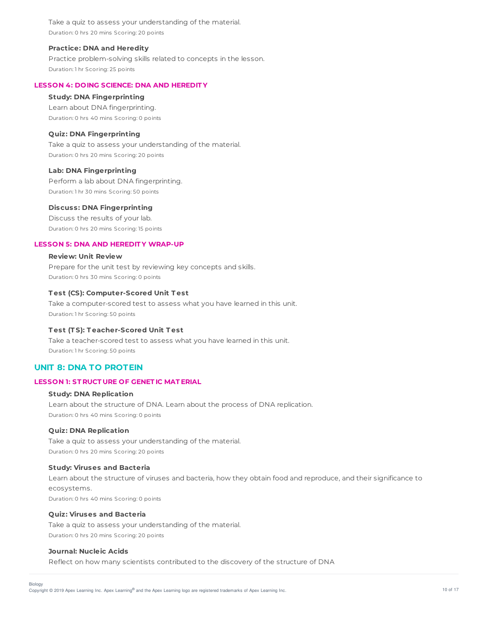Take a quiz to assess your understanding of the material. Duration: 0 hrs 20 mins Scoring: 20 points

### **Practice: DNA and Heredity**

Practice problem-solving skills related to concepts in the lesson. Duration: 1 hr Scoring: 25 points

## **LESSON 4: DOING SCIENCE: DNA AND HEREDIT Y**

### **Study: DNA Fingerprinting**

Learn about DNA fingerprinting. Duration: 0 hrs 40 mins Scoring: 0 points

### **Quiz: DNA Fingerprinting**

Take a quiz to assess your understanding of the material. Duration: 0 hrs 20 mins Scoring: 20 points

### **Lab: DNA Fingerprinting**

Perform a lab about DNA fingerprinting. Duration: 1 hr 30 mins Scoring: 50 points

### **Discuss: DNA Fingerprinting**

Discuss the results of your lab. Duration: 0 hrs 20 mins Scoring: 15 points

### **LESSON 5: DNA AND HEREDIT Y WRAP-UP**

### **Review: Unit Review**

Prepare for the unit test by reviewing key concepts and skills. Duration: 0 hrs 30 mins Scoring: 0 points

## **T est (CS): Computer-Scored Unit T est**

Take a computer-scored test to assess what you have learned in this unit. Duration: 1 hr Scoring: 50 points

## **T est (T S): T eacher-Scored Unit T est**

Take a teacher-scored test to assess what you have learned in this unit. Duration: 1 hr Scoring: 50 points

# **UNIT 8: DNA TO PROTEIN**

## **LESSON 1: ST RUCT URE OF GENET IC MAT ERIAL**

## **Study: DNA Replication**

Learn about the structure of DNA. Learn about the process of DNA replication. Duration: 0 hrs 40 mins Scoring: 0 points

#### **Quiz: DNA Replication**

Take a quiz to assess your understanding of the material. Duration: 0 hrs 20 mins Scoring: 20 points

### **Study: Viruses and Bacteria**

Learn about the structure of viruses and bacteria, how they obtain food and reproduce, and their significance to ecosystems. Duration: 0 hrs 40 mins Scoring: 0 points

### **Quiz: Viruses and Bacteria**

Take a quiz to assess your understanding of the material. Duration: 0 hrs 20 mins Scoring: 20 points

### **Journal: Nucleic Acids**

Reflect on how many scientists contributed to the discovery of the structure of DNA

Biology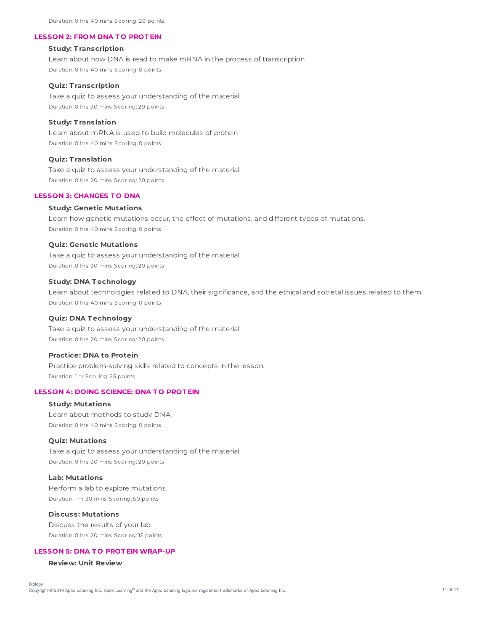Duration: 0 hrs 40 mins Scoring: 20 points

#### **LESSON 2: FROM DNA T O PROT EIN**

## **Study: T ranscription**

Learn about how DNA is read to make mRNA in the process of transcription Duration: 0 hrs 40 mins Scoring: 0 points

#### **Quiz: T ranscription**

Take a quiz to assess your understanding of the material. Duration: 0 hrs 20 mins Scoring: 20 points

### **Study: T ranslation**

Learn about mRNA is used to build molecules of protein Duration: 0 hrs 40 mins Scoring: 0 points

#### **Quiz: T ranslation**

Take a quiz to assess your understanding of the material. Duration: 0 hrs 20 mins Scoring: 20 points

#### **LESSON 3: CHANGES T O DNA**

#### **Study: Genetic Mutations**

Learn how genetic mutations occur, the effect of mutations, and different types of mutations. Duration: 0 hrs 40 mins Scoring: 0 points

### **Quiz: Genetic Mutations**

Take a quiz to assess your understanding of the material. Duration: 0 hrs 20 mins Scoring: 20 points

#### **Study: DNA T echnology**

Learn about technologies related to DNA, their significance, and the ethical and societal issues related to them. Duration: 0 hrs 40 mins Scoring: 0 points

## **Quiz: DNA T echnology**

Take a quiz to assess your understanding of the material. Duration: 0 hrs 20 mins Scoring: 20 points

### **Practice: DNA to Protein**

Practice problem-solving skills related to concepts in the lesson. Duration: 1 hr Scoring: 25 points

### **LESSON 4: DOING SCIENCE: DNA T O PROT EIN**

#### **Study: Mutations**

Learn about methods to study DNA. Duration: 0 hrs 40 mins Scoring: 0 points

#### **Quiz: Mutations**

Take a quiz to assess your understanding of the material. Duration: 0 hrs 20 mins Scoring: 20 points

### **Lab: Mutations**

Perform a lab to explore mutations. Duration: 1 hr 30 mins Scoring: 50 points

### **Discuss: Mutations**

Discuss the results of your lab. Duration: 0 hrs 20 mins Scoring: 15 points

## **LESSON 5: DNA T O PROT EIN WRAP-UP**

**Review: Unit Review**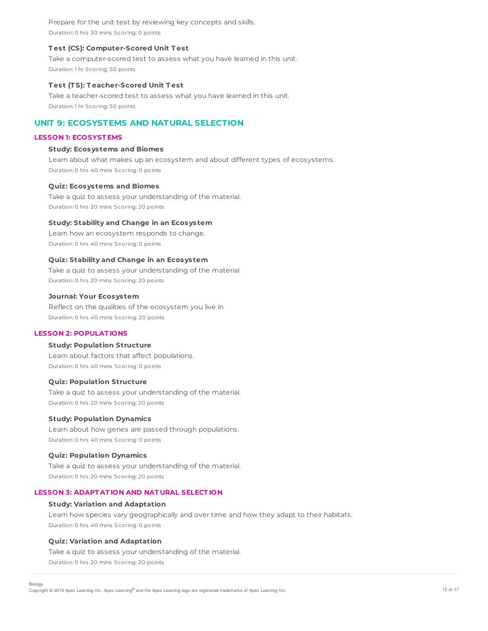Prepare for the unit test by reviewing key concepts and skills. Duration: 0 hrs 30 mins Scoring: 0 points

### **T est (CS): Computer-Scored Unit T est**

Take a computer-scored test to assess what you have learned in this unit. Duration: 1 hr Scoring: 50 points

### **T est (T S): T eacher-Scored Unit T est**

Take a teacher-scored test to assess what you have learned in this unit. Duration: 1 hr Scoring: 50 points

# **UNIT 9: ECOSYSTEMS AND NATURAL SELECTION**

### **LESSON 1: ECOSYST EMS**

### **Study: Ecosystems and Biomes**

Learn about what makes up an ecosystem and about different types of ecosystems. Duration: 0 hrs 40 mins Scoring: 0 points

### **Quiz: Ecosystems and Biomes**

Take a quiz to assess your understanding of the material. Duration: 0 hrs 20 mins Scoring: 20 points

### **Study: Stability and Change in an Ecosystem**

Learn how an ecosystem responds to change. Duration: 0 hrs 40 mins Scoring: 0 points

### **Quiz: Stability and Change in an Ecosystem**

Take a quiz to assess your understanding of the material. Duration: 0 hrs 20 mins Scoring: 20 points

#### **Journal: Your Ecosystem**

Reflect on the qualities of the ecosystem you live in Duration: 0 hrs 40 mins Scoring: 20 points

## **LESSON 2: POPULAT IONS**

### **Study: Population Structure**

Learn about factors that affect populations. Duration: 0 hrs 40 mins Scoring: 0 points

### **Quiz: Population Structure**

Take a quiz to assess your understanding of the material. Duration: 0 hrs 20 mins Scoring: 20 points

### **Study: Population Dynamics**

Learn about how genes are passed through populations. Duration: 0 hrs 40 mins Scoring: 0 points

### **Quiz: Population Dynamics**

Take a quiz to assess your understanding of the material. Duration: 0 hrs 20 mins Scoring: 20 points

### **LESSON 3: ADAPT AT ION AND NAT URAL SELECT ION**

### **Study: Variation and Adaptation**

Learn how species vary geographically and over time and how they adapt to their habitats. Duration: 0 hrs 40 mins Scoring: 0 points

### **Quiz: Variation and Adaptation**

Take a quiz to assess your understanding of the material. Duration: 0 hrs 20 mins Scoring: 20 points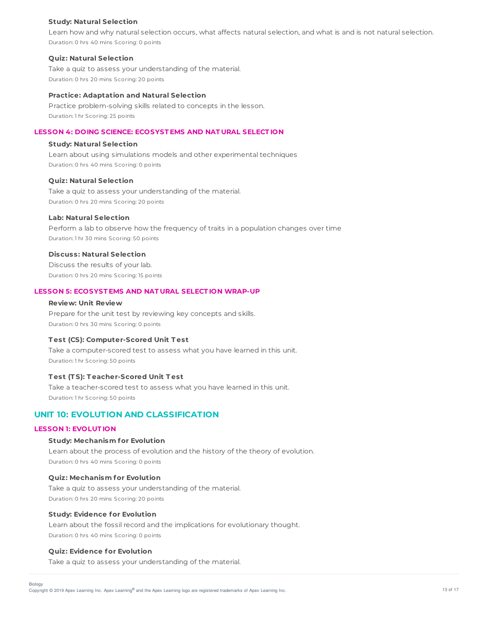### **Study: Natural Selection**

Learn how and why natural selection occurs, what affects natural selection, and what is and is not natural selection. Duration: 0 hrs 40 mins Scoring: 0 points

### **Quiz: Natural Selection**

Take a quiz to assess your understanding of the material. Duration: 0 hrs 20 mins Scoring: 20 points

#### **Practice: Adaptation and Natural Selection**

Practice problem-solving skills related to concepts in the lesson. Duration: 1 hr Scoring: 25 points

## **LESSON 4: DOING SCIENCE: ECOSYST EMS AND NAT URAL SELECT ION**

## **Study: Natural Selection**

Learn about using simulations models and other experimental techniques Duration: 0 hrs 40 mins Scoring: 0 points

### **Quiz: Natural Selection**

Take a quiz to assess your understanding of the material. Duration: 0 hrs 20 mins Scoring: 20 points

### **Lab: Natural Selection**

Perform a lab to observe how the frequency of traits in a population changes over time Duration: 1 hr 30 mins Scoring: 50 points

### **Discuss: Natural Selection**

Discuss the results of your lab. Duration: 0 hrs 20 mins Scoring: 15 points

### **LESSON 5: ECOSYST EMS AND NAT URAL SELECT ION WRAP-UP**

### **Review: Unit Review**

Prepare for the unit test by reviewing key concepts and skills. Duration: 0 hrs 30 mins Scoring: 0 points

### **T est (CS): Computer-Scored Unit T est**

Take a computer-scored test to assess what you have learned in this unit. Duration: 1 hr Scoring: 50 points

## **T est (T S): T eacher-Scored Unit T est**

Take a teacher-scored test to assess what you have learned in this unit. Duration: 1 hr Scoring: 50 points

## **UNIT 10: EVOLUTION AND CLASSIFICATION**

## **LESSON 1: EVOLUT ION**

### **Study: Mechanism for Evolution**

Learn about the process of evolution and the history of the theory of evolution. Duration: 0 hrs 40 mins Scoring: 0 points

### **Quiz: Mechanism for Evolution**

Take a quiz to assess your understanding of the material. Duration: 0 hrs 20 mins Scoring: 20 points

#### **Study: Evidence for Evolution**

Learn about the fossil record and the implications for evolutionary thought. Duration: 0 hrs 40 mins Scoring: 0 points

### **Quiz: Evidence for Evolution**

Take a quiz to assess your understanding of the material.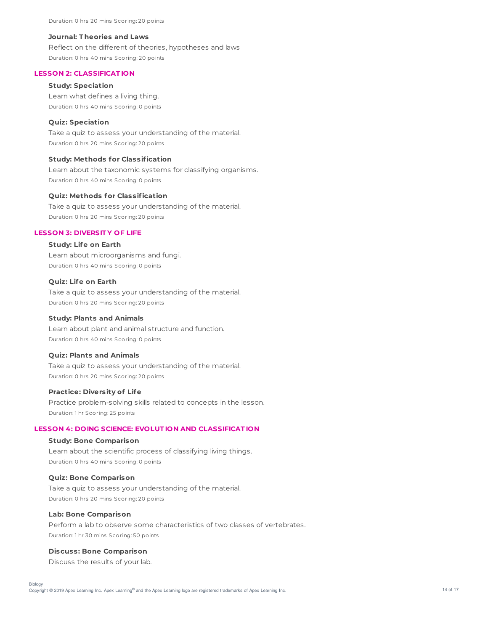### **Journal: T heories and Laws**

Reflect on the different of theories, hypotheses and laws Duration: 0 hrs 40 mins Scoring: 20 points

### **LESSON 2: CLASSIFICAT ION**

### **Study: Speciation**

Learn what defines a living thing. Duration: 0 hrs 40 mins Scoring: 0 points

### **Quiz: Speciation**

Take a quiz to assess your understanding of the material. Duration: 0 hrs 20 mins Scoring: 20 points

#### **Study: Methods for Classification**

Learn about the taxonomic systems for classifying organisms. Duration: 0 hrs 40 mins Scoring: 0 points

### **Quiz: Methods for Classification**

Take a quiz to assess your understanding of the material. Duration: 0 hrs 20 mins Scoring: 20 points

### **LESSON 3: DIVERSIT Y OF LIFE**

## **Study: Life on Earth**

Learn about microorganisms and fungi. Duration: 0 hrs 40 mins Scoring: 0 points

### **Quiz: Life on Earth**

Take a quiz to assess your understanding of the material. Duration: 0 hrs 20 mins Scoring: 20 points

### **Study: Plants and Animals**

Learn about plant and animal structure and function. Duration: 0 hrs 40 mins Scoring: 0 points

### **Quiz: Plants and Animals**

Take a quiz to assess your understanding of the material. Duration: 0 hrs 20 mins Scoring: 20 points

### **Practice: Diversity of Life**

Practice problem-solving skills related to concepts in the lesson. Duration: 1 hr Scoring: 25 points

## **LESSON 4: DOING SCIENCE: EVOLUT ION AND CLASSIFICAT ION**

#### **Study: Bone Comparison**

Learn about the scientific process of classifying living things. Duration: 0 hrs 40 mins Scoring: 0 points

### **Quiz: Bone Comparison**

Take a quiz to assess your understanding of the material. Duration: 0 hrs 20 mins Scoring: 20 points

#### **Lab: Bone Comparison**

Perform a lab to observe some characteristics of two classes of vertebrates. Duration: 1 hr 30 mins Scoring: 50 points

## **Discuss: Bone Comparison**

Discuss the results of your lab.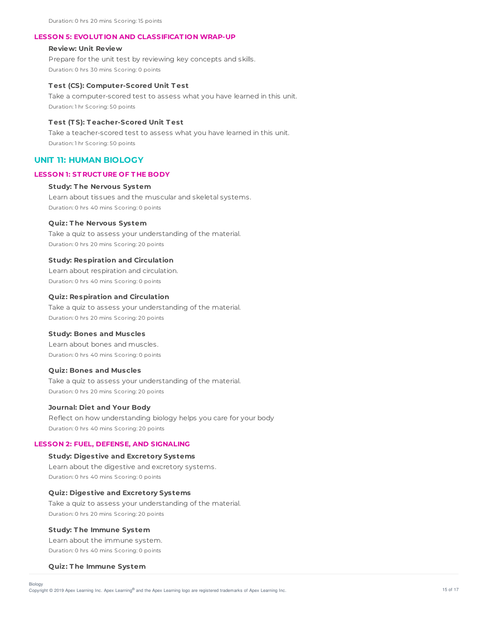### **LESSON 5: EVOLUT ION AND CLASSIFICAT ION WRAP-UP**

### **Review: Unit Review**

Prepare for the unit test by reviewing key concepts and skills. Duration: 0 hrs 30 mins Scoring: 0 points

### **T est (CS): Computer-Scored Unit T est**

Take a computer-scored test to assess what you have learned in this unit. Duration: 1 hr Scoring: 50 points

### **T est (T S): T eacher-Scored Unit T est**

Take a teacher-scored test to assess what you have learned in this unit. Duration: 1 hr Scoring: 50 points

## **UNIT 11: HUMAN BIOLOGY**

#### **LESSON 1: ST RUCT URE OF T HE BODY**

## **Study: T he Nervous System**

Learn about tissues and the muscular and skeletal systems. Duration: 0 hrs 40 mins Scoring: 0 points

### **Quiz: T he Nervous System**

Take a quiz to assess your understanding of the material. Duration: 0 hrs 20 mins Scoring: 20 points

#### **Study: Respiration and Circulation**

Learn about respiration and circulation. Duration: 0 hrs 40 mins Scoring: 0 points

#### **Quiz: Respiration and Circulation**

Take a quiz to assess your understanding of the material. Duration: 0 hrs 20 mins Scoring: 20 points

#### **Study: Bones and Muscles**

Learn about bones and muscles. Duration: 0 hrs 40 mins Scoring: 0 points

#### **Quiz: Bones and Muscles**

Take a quiz to assess your understanding of the material. Duration: 0 hrs 20 mins Scoring: 20 points

### **Journal: Diet and Your Body**

Reflect on how understanding biology helps you care for your body Duration: 0 hrs 40 mins Scoring: 20 points

### **LESSON 2: FUEL, DEFENSE, AND SIGNALING**

# **Study: Digestive and Excretory Systems** Learn about the digestive and excretory systems. Duration: 0 hrs 40 mins Scoring: 0 points

### **Quiz: Digestive and Excretory Systems**

Take a quiz to assess your understanding of the material. Duration: 0 hrs 20 mins Scoring: 20 points

### **Study: T he Immune System**

Learn about the immune system. Duration: 0 hrs 40 mins Scoring: 0 points

#### **Quiz: T he Immune System**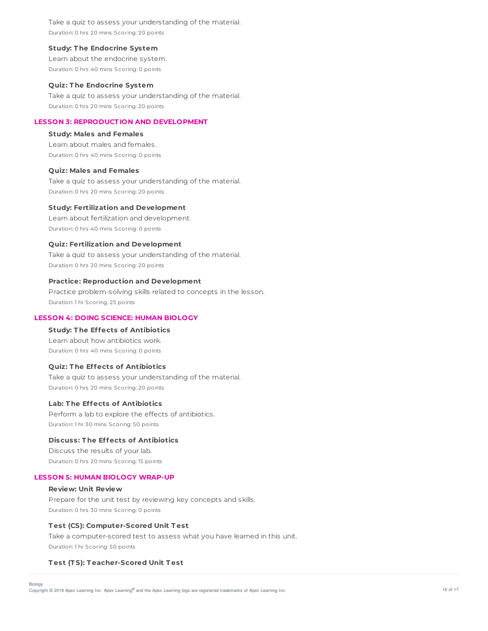Take a quiz to assess your understanding of the material. Duration: 0 hrs 20 mins Scoring: 20 points

### **Study: T he Endocrine System**

Learn about the endocrine system. Duration: 0 hrs 40 mins Scoring: 0 points

#### **Quiz: T he Endocrine System**

Take a quiz to assess your understanding of the material. Duration: 0 hrs 20 mins Scoring: 20 points

### **LESSON 3: REPRODUCT ION AND DEVELOPMENT**

## **Study: Males and Females**

Learn about males and females. Duration: 0 hrs 40 mins Scoring: 0 points

### **Quiz: Males and Females**

Take a quiz to assess your understanding of the material. Duration: 0 hrs 20 mins Scoring: 20 points

### **Study: Fertilization and Development**

Learn about fertilization and development. Duration: 0 hrs 40 mins Scoring: 0 points

### **Quiz: Fertilization and Development**

Take a quiz to assess your understanding of the material. Duration: 0 hrs 20 mins Scoring: 20 points

#### **Practice: Reproduction and Development**

Practice problem-solving skills related to concepts in the lesson. Duration: 1 hr Scoring: 25 points

## **LESSON 4: DOING SCIENCE: HUMAN BIOLOGY**

## **Study: T he Effects of Antibiotics**

Learn about how antibiotics work. Duration: 0 hrs 40 mins Scoring: 0 points

### **Quiz: T he Effects of Antibiotics**

Take a quiz to assess your understanding of the material. Duration: 0 hrs 20 mins Scoring: 20 points

#### **Lab: T he Effects of Antibiotics**

Perform a lab to explore the effects of antibiotics. Duration: 1 hr 30 mins Scoring: 50 points

### **Discuss: T he Effects of Antibiotics**

Discuss the results of your lab. Duration: 0 hrs 20 mins Scoring: 15 points

#### **LESSON 5: HUMAN BIOLOGY WRAP-UP**

### **Review: Unit Review**

Prepare for the unit test by reviewing key concepts and skills. Duration: 0 hrs 30 mins Scoring: 0 points

### **T est (CS): Computer-Scored Unit T est**

Take a computer-scored test to assess what you have learned in this unit. Duration: 1 hr Scoring: 50 points

#### **T est (T S): T eacher-Scored Unit T est**